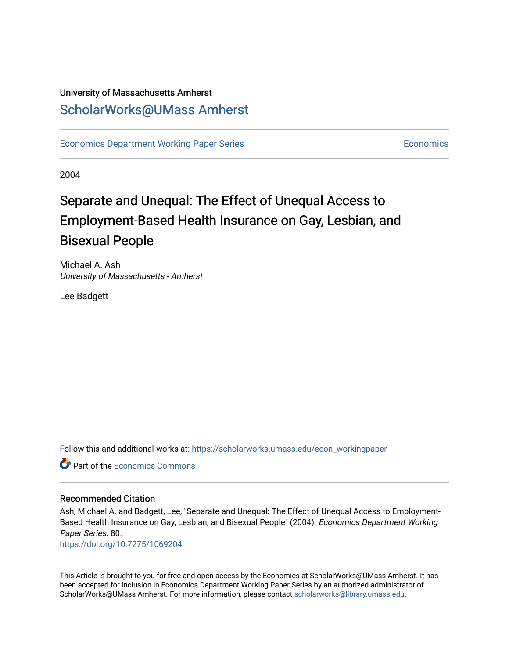### University of Massachusetts Amherst [ScholarWorks@UMass Amherst](https://scholarworks.umass.edu/)

[Economics Department Working Paper Series](https://scholarworks.umass.edu/econ_workingpaper) **Economics** [Economics](https://scholarworks.umass.edu/economics) Economics

2004

### Separate and Unequal: The Effect of Unequal Access to Employment-Based Health Insurance on Gay, Lesbian, and Bisexual People

Michael A. Ash University of Massachusetts - Amherst

Lee Badgett

Follow this and additional works at: [https://scholarworks.umass.edu/econ\\_workingpaper](https://scholarworks.umass.edu/econ_workingpaper?utm_source=scholarworks.umass.edu%2Fecon_workingpaper%2F80&utm_medium=PDF&utm_campaign=PDFCoverPages) 

**C** Part of the [Economics Commons](http://network.bepress.com/hgg/discipline/340?utm_source=scholarworks.umass.edu%2Fecon_workingpaper%2F80&utm_medium=PDF&utm_campaign=PDFCoverPages)

#### Recommended Citation

Ash, Michael A. and Badgett, Lee, "Separate and Unequal: The Effect of Unequal Access to Employment-Based Health Insurance on Gay, Lesbian, and Bisexual People" (2004). Economics Department Working Paper Series. 80.

<https://doi.org/10.7275/1069204>

This Article is brought to you for free and open access by the Economics at ScholarWorks@UMass Amherst. It has been accepted for inclusion in Economics Department Working Paper Series by an authorized administrator of ScholarWorks@UMass Amherst. For more information, please contact [scholarworks@library.umass.edu.](mailto:scholarworks@library.umass.edu)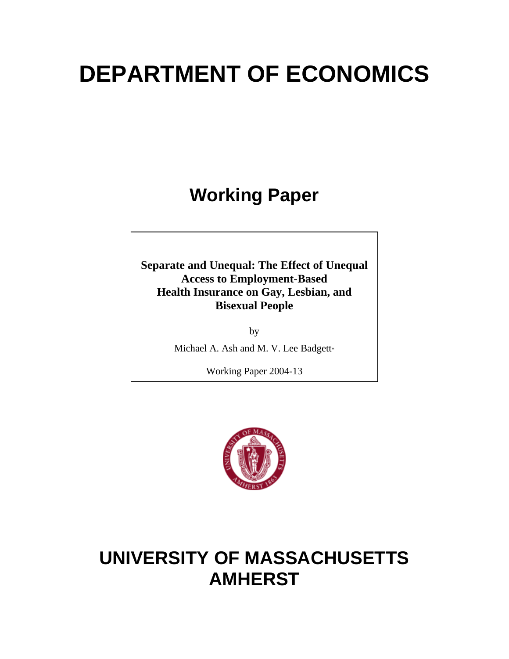# **DEPARTMENT OF ECONOMICS**

## **Working Paper**

**Separate and Unequal: The Effect of Unequal Access to Employment-Based Health Insurance on Gay, Lesbian, and Bisexual People** 

> by Michael A. Ash and M. V. Lee Badgett\*

> > Working Paper 2004-13



### **UNIVERSITY OF MASSACHUSETTS AMHERST**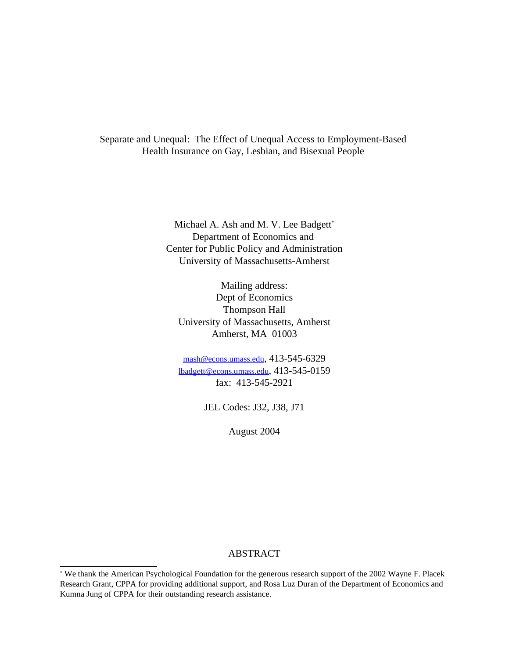Separate and Unequal: The Effect of Unequal Access to Employment-Based Health Insurance on Gay, Lesbian, and Bisexual People

> Michael A. Ash and M. V. Lee Badgett\* Department of Economics and Center for Public Policy and Administration University of Massachusetts-Amherst

Mailing address: Dept of Economics Thompson Hall University of Massachusetts, Amherst Amherst, MA 01003

mash@econs.umass.edu, 413-545-6329 lbadgett@econs.umass.edu, 413-545-0159 fax: 413-545-2921

JEL Codes: J32, J38, J71

August 2004

#### ABSTRACT

<sup>\*</sup> We thank the American Psychological Foundation for the generous research support of the 2002 Wayne F. Placek Research Grant, CPPA for providing additional support, and Rosa Luz Duran of the Department of Economics and Kumna Jung of CPPA for their outstanding research assistance.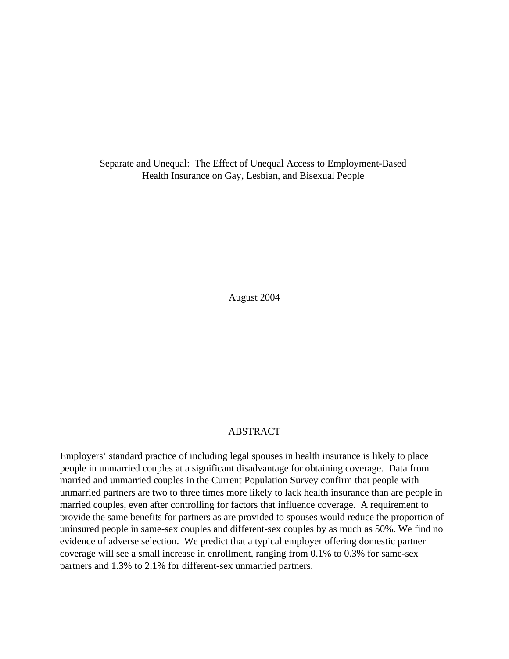Separate and Unequal: The Effect of Unequal Access to Employment-Based Health Insurance on Gay, Lesbian, and Bisexual People

August 2004

#### ABSTRACT

Employers' standard practice of including legal spouses in health insurance is likely to place people in unmarried couples at a significant disadvantage for obtaining coverage. Data from married and unmarried couples in the Current Population Survey confirm that people with unmarried partners are two to three times more likely to lack health insurance than are people in married couples, even after controlling for factors that influence coverage. A requirement to provide the same benefits for partners as are provided to spouses would reduce the proportion of uninsured people in same-sex couples and different-sex couples by as much as 50%. We find no evidence of adverse selection. We predict that a typical employer offering domestic partner coverage will see a small increase in enrollment, ranging from 0.1% to 0.3% for same-sex partners and 1.3% to 2.1% for different-sex unmarried partners.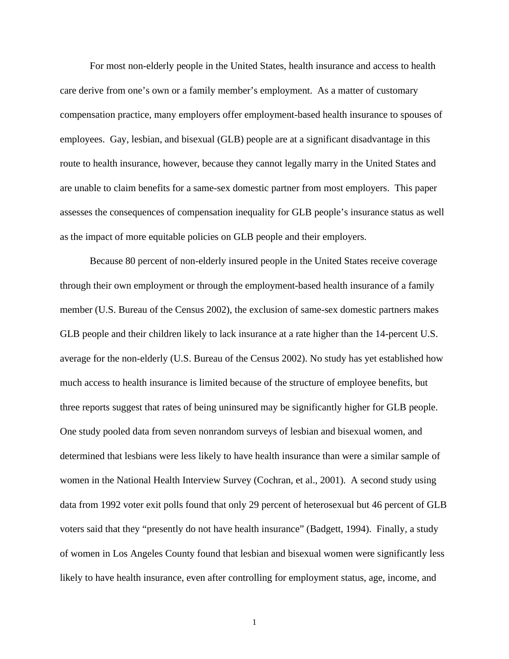For most non-elderly people in the United States, health insurance and access to health care derive from one's own or a family member's employment. As a matter of customary compensation practice, many employers offer employment-based health insurance to spouses of employees. Gay, lesbian, and bisexual (GLB) people are at a significant disadvantage in this route to health insurance, however, because they cannot legally marry in the United States and are unable to claim benefits for a same-sex domestic partner from most employers. This paper assesses the consequences of compensation inequality for GLB people's insurance status as well as the impact of more equitable policies on GLB people and their employers.

Because 80 percent of non-elderly insured people in the United States receive coverage through their own employment or through the employment-based health insurance of a family member (U.S. Bureau of the Census 2002), the exclusion of same-sex domestic partners makes GLB people and their children likely to lack insurance at a rate higher than the 14-percent U.S. average for the non-elderly (U.S. Bureau of the Census 2002). No study has yet established how much access to health insurance is limited because of the structure of employee benefits, but three reports suggest that rates of being uninsured may be significantly higher for GLB people. One study pooled data from seven nonrandom surveys of lesbian and bisexual women, and determined that lesbians were less likely to have health insurance than were a similar sample of women in the National Health Interview Survey (Cochran, et al., 2001). A second study using data from 1992 voter exit polls found that only 29 percent of heterosexual but 46 percent of GLB voters said that they "presently do not have health insurance" (Badgett, 1994). Finally, a study of women in Los Angeles County found that lesbian and bisexual women were significantly less likely to have health insurance, even after controlling for employment status, age, income, and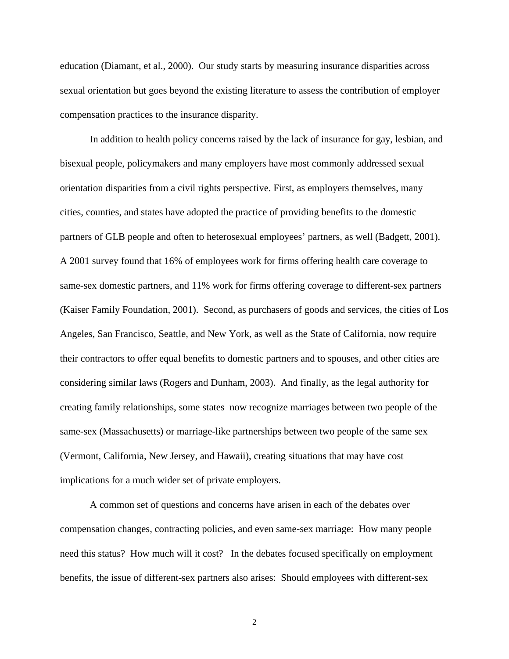education (Diamant, et al., 2000). Our study starts by measuring insurance disparities across sexual orientation but goes beyond the existing literature to assess the contribution of employer compensation practices to the insurance disparity.

In addition to health policy concerns raised by the lack of insurance for gay, lesbian, and bisexual people, policymakers and many employers have most commonly addressed sexual orientation disparities from a civil rights perspective. First, as employers themselves, many cities, counties, and states have adopted the practice of providing benefits to the domestic partners of GLB people and often to heterosexual employees' partners, as well (Badgett, 2001). A 2001 survey found that 16% of employees work for firms offering health care coverage to same-sex domestic partners, and 11% work for firms offering coverage to different-sex partners (Kaiser Family Foundation, 2001). Second, as purchasers of goods and services, the cities of Los Angeles, San Francisco, Seattle, and New York, as well as the State of California, now require their contractors to offer equal benefits to domestic partners and to spouses, and other cities are considering similar laws (Rogers and Dunham, 2003). And finally, as the legal authority for creating family relationships, some states now recognize marriages between two people of the same-sex (Massachusetts) or marriage-like partnerships between two people of the same sex (Vermont, California, New Jersey, and Hawaii), creating situations that may have cost implications for a much wider set of private employers.

A common set of questions and concerns have arisen in each of the debates over compensation changes, contracting policies, and even same-sex marriage: How many people need this status? How much will it cost? In the debates focused specifically on employment benefits, the issue of different-sex partners also arises: Should employees with different-sex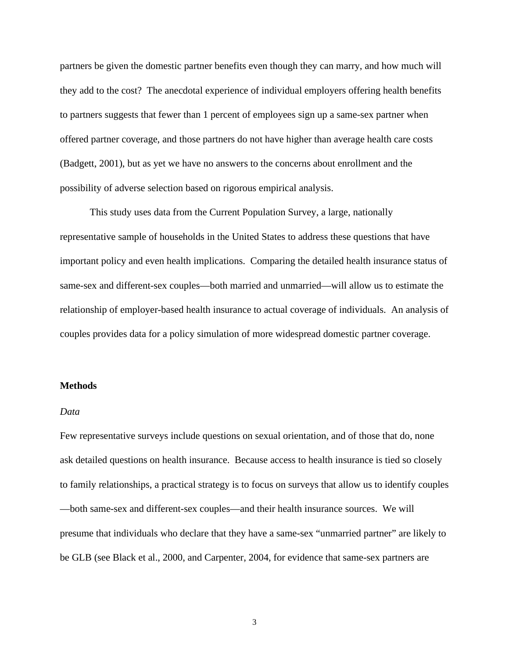partners be given the domestic partner benefits even though they can marry, and how much will they add to the cost? The anecdotal experience of individual employers offering health benefits to partners suggests that fewer than 1 percent of employees sign up a same-sex partner when offered partner coverage, and those partners do not have higher than average health care costs (Badgett, 2001), but as yet we have no answers to the concerns about enrollment and the possibility of adverse selection based on rigorous empirical analysis.

This study uses data from the Current Population Survey, a large, nationally representative sample of households in the United States to address these questions that have important policy and even health implications. Comparing the detailed health insurance status of same-sex and different-sex couples—both married and unmarried—will allow us to estimate the relationship of employer-based health insurance to actual coverage of individuals. An analysis of couples provides data for a policy simulation of more widespread domestic partner coverage.

#### **Methods**

#### *Data*

Few representative surveys include questions on sexual orientation, and of those that do, none ask detailed questions on health insurance. Because access to health insurance is tied so closely to family relationships, a practical strategy is to focus on surveys that allow us to identify couples —both same-sex and different-sex couples—and their health insurance sources. We will presume that individuals who declare that they have a same-sex "unmarried partner" are likely to be GLB (see Black et al., 2000, and Carpenter, 2004, for evidence that same-sex partners are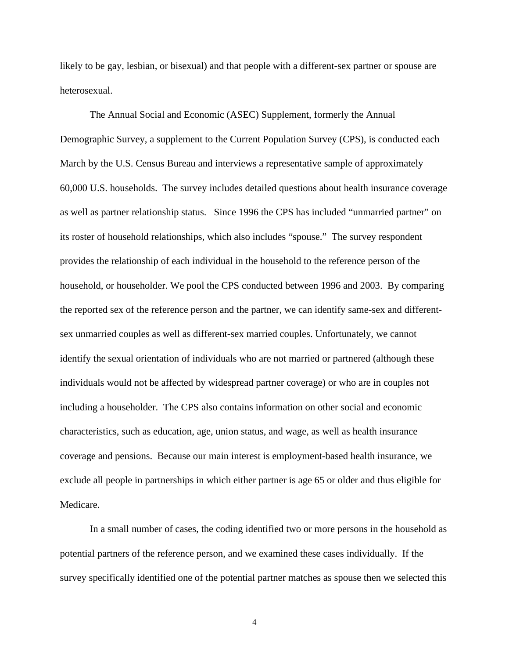likely to be gay, lesbian, or bisexual) and that people with a different-sex partner or spouse are heterosexual.

The Annual Social and Economic (ASEC) Supplement, formerly the Annual Demographic Survey, a supplement to the Current Population Survey (CPS), is conducted each March by the U.S. Census Bureau and interviews a representative sample of approximately 60,000 U.S. households. The survey includes detailed questions about health insurance coverage as well as partner relationship status. Since 1996 the CPS has included "unmarried partner" on its roster of household relationships, which also includes "spouse." The survey respondent provides the relationship of each individual in the household to the reference person of the household, or householder. We pool the CPS conducted between 1996 and 2003. By comparing the reported sex of the reference person and the partner, we can identify same-sex and differentsex unmarried couples as well as different-sex married couples. Unfortunately, we cannot identify the sexual orientation of individuals who are not married or partnered (although these individuals would not be affected by widespread partner coverage) or who are in couples not including a householder. The CPS also contains information on other social and economic characteristics, such as education, age, union status, and wage, as well as health insurance coverage and pensions. Because our main interest is employment-based health insurance, we exclude all people in partnerships in which either partner is age 65 or older and thus eligible for Medicare.

In a small number of cases, the coding identified two or more persons in the household as potential partners of the reference person, and we examined these cases individually. If the survey specifically identified one of the potential partner matches as spouse then we selected this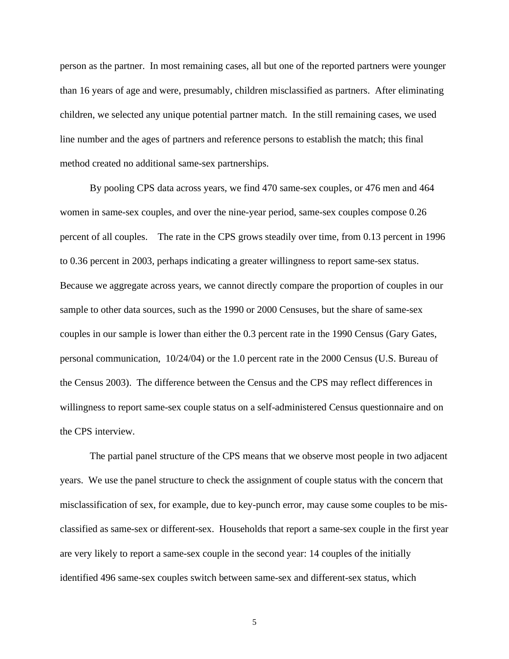person as the partner. In most remaining cases, all but one of the reported partners were younger than 16 years of age and were, presumably, children misclassified as partners. After eliminating children, we selected any unique potential partner match. In the still remaining cases, we used line number and the ages of partners and reference persons to establish the match; this final method created no additional same-sex partnerships.

By pooling CPS data across years, we find 470 same-sex couples, or 476 men and 464 women in same-sex couples, and over the nine-year period, same-sex couples compose 0.26 percent of all couples. The rate in the CPS grows steadily over time, from 0.13 percent in 1996 to 0.36 percent in 2003, perhaps indicating a greater willingness to report same-sex status. Because we aggregate across years, we cannot directly compare the proportion of couples in our sample to other data sources, such as the 1990 or 2000 Censuses, but the share of same-sex couples in our sample is lower than either the 0.3 percent rate in the 1990 Census (Gary Gates, personal communication, 10/24/04) or the 1.0 percent rate in the 2000 Census (U.S. Bureau of the Census 2003). The difference between the Census and the CPS may reflect differences in willingness to report same-sex couple status on a self-administered Census questionnaire and on the CPS interview.

The partial panel structure of the CPS means that we observe most people in two adjacent years. We use the panel structure to check the assignment of couple status with the concern that misclassification of sex, for example, due to key-punch error, may cause some couples to be misclassified as same-sex or different-sex. Households that report a same-sex couple in the first year are very likely to report a same-sex couple in the second year: 14 couples of the initially identified 496 same-sex couples switch between same-sex and different-sex status, which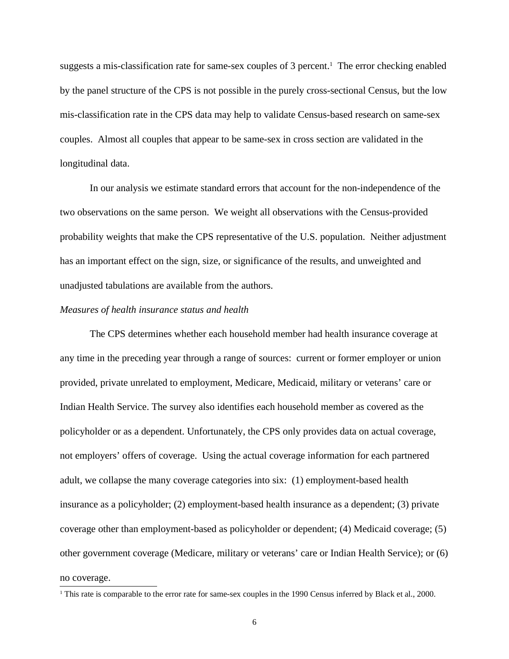suggests a mis-classification rate for same-sex couples of 3 percent. 1 The error checking enabled by the panel structure of the CPS is not possible in the purely cross-sectional Census, but the low mis-classification rate in the CPS data may help to validate Census-based research on same-sex couples. Almost all couples that appear to be same-sex in cross section are validated in the longitudinal data.

In our analysis we estimate standard errors that account for the non-independence of the two observations on the same person. We weight all observations with the Census-provided probability weights that make the CPS representative of the U.S. population. Neither adjustment has an important effect on the sign, size, or significance of the results, and unweighted and unadjusted tabulations are available from the authors.

#### *Measures of health insurance status and health*

The CPS determines whether each household member had health insurance coverage at any time in the preceding year through a range of sources: current or former employer or union provided, private unrelated to employment, Medicare, Medicaid, military or veterans' care or Indian Health Service. The survey also identifies each household member as covered as the policyholder or as a dependent. Unfortunately, the CPS only provides data on actual coverage, not employers' offers of coverage. Using the actual coverage information for each partnered adult, we collapse the many coverage categories into six: (1) employment-based health insurance as a policyholder; (2) employment-based health insurance as a dependent; (3) private coverage other than employment-based as policyholder or dependent; (4) Medicaid coverage; (5) other government coverage (Medicare, military or veterans' care or Indian Health Service); or (6) no coverage.

<sup>&</sup>lt;sup>1</sup> This rate is comparable to the error rate for same-sex couples in the 1990 Census inferred by Black et al., 2000.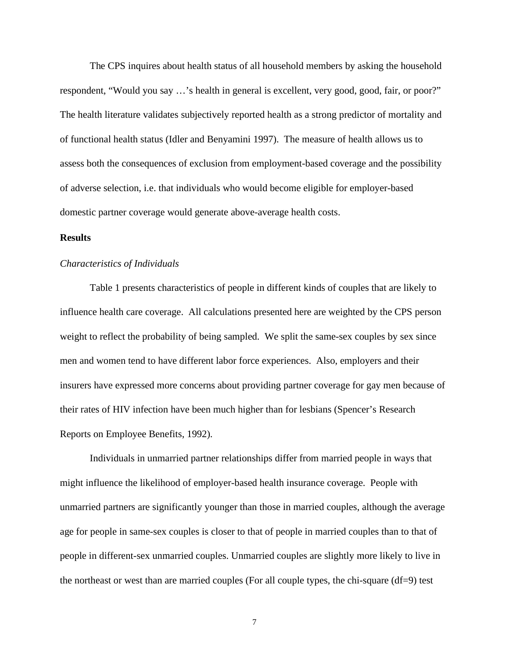The CPS inquires about health status of all household members by asking the household respondent, "Would you say …'s health in general is excellent, very good, good, fair, or poor?" The health literature validates subjectively reported health as a strong predictor of mortality and of functional health status (Idler and Benyamini 1997). The measure of health allows us to assess both the consequences of exclusion from employment-based coverage and the possibility of adverse selection, i.e. that individuals who would become eligible for employer-based domestic partner coverage would generate above-average health costs.

#### **Results**

#### *Characteristics of Individuals*

Table 1 presents characteristics of people in different kinds of couples that are likely to influence health care coverage. All calculations presented here are weighted by the CPS person weight to reflect the probability of being sampled. We split the same-sex couples by sex since men and women tend to have different labor force experiences. Also, employers and their insurers have expressed more concerns about providing partner coverage for gay men because of their rates of HIV infection have been much higher than for lesbians (Spencer's Research Reports on Employee Benefits, 1992).

Individuals in unmarried partner relationships differ from married people in ways that might influence the likelihood of employer-based health insurance coverage. People with unmarried partners are significantly younger than those in married couples, although the average age for people in same-sex couples is closer to that of people in married couples than to that of people in different-sex unmarried couples. Unmarried couples are slightly more likely to live in the northeast or west than are married couples (For all couple types, the chi-square (df=9) test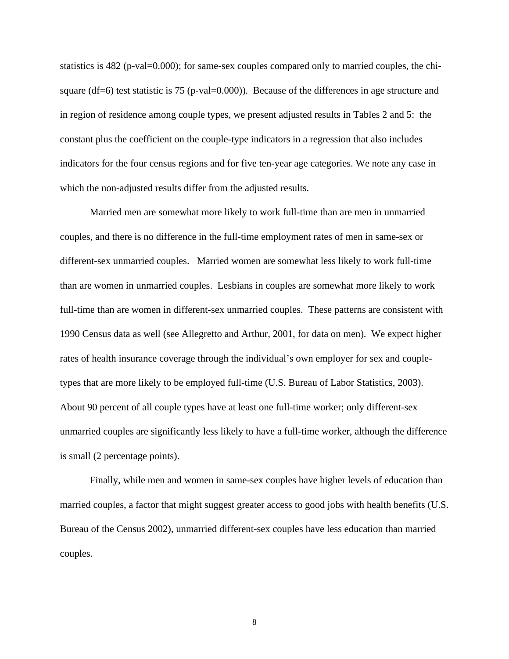statistics is 482 (p-val=0.000); for same-sex couples compared only to married couples, the chisquare (df=6) test statistic is 75 (p-val=0.000)). Because of the differences in age structure and in region of residence among couple types, we present adjusted results in Tables 2 and 5: the constant plus the coefficient on the couple-type indicators in a regression that also includes indicators for the four census regions and for five ten-year age categories. We note any case in which the non-adjusted results differ from the adjusted results.

Married men are somewhat more likely to work full-time than are men in unmarried couples, and there is no difference in the full-time employment rates of men in same-sex or different-sex unmarried couples. Married women are somewhat less likely to work full-time than are women in unmarried couples. Lesbians in couples are somewhat more likely to work full-time than are women in different-sex unmarried couples. These patterns are consistent with 1990 Census data as well (see Allegretto and Arthur, 2001, for data on men). We expect higher rates of health insurance coverage through the individual's own employer for sex and coupletypes that are more likely to be employed full-time (U.S. Bureau of Labor Statistics, 2003). About 90 percent of all couple types have at least one full-time worker; only different-sex unmarried couples are significantly less likely to have a full-time worker, although the difference is small (2 percentage points).

Finally, while men and women in same-sex couples have higher levels of education than married couples, a factor that might suggest greater access to good jobs with health benefits (U.S. Bureau of the Census 2002), unmarried different-sex couples have less education than married couples.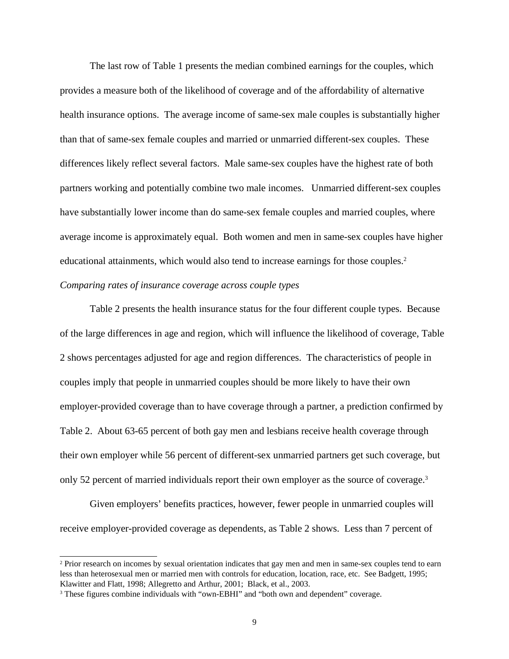The last row of Table 1 presents the median combined earnings for the couples, which provides a measure both of the likelihood of coverage and of the affordability of alternative health insurance options. The average income of same-sex male couples is substantially higher than that of same-sex female couples and married or unmarried different-sex couples. These differences likely reflect several factors. Male same-sex couples have the highest rate of both partners working and potentially combine two male incomes. Unmarried different-sex couples have substantially lower income than do same-sex female couples and married couples, where average income is approximately equal. Both women and men in same-sex couples have higher educational attainments, which would also tend to increase earnings for those couples. 2 *Comparing rates of insurance coverage across couple types*

Table 2 presents the health insurance status for the four different couple types. Because of the large differences in age and region, which will influence the likelihood of coverage, Table 2 shows percentages adjusted for age and region differences. The characteristics of people in couples imply that people in unmarried couples should be more likely to have their own employer-provided coverage than to have coverage through a partner, a prediction confirmed by Table 2. About 63-65 percent of both gay men and lesbians receive health coverage through their own employer while 56 percent of different-sex unmarried partners get such coverage, but only 52 percent of married individuals report their own employer as the source of coverage.<sup>3</sup>

Given employers' benefits practices, however, fewer people in unmarried couples will receive employer-provided coverage as dependents, as Table 2 shows. Less than 7 percent of

<sup>&</sup>lt;sup>2</sup> Prior research on incomes by sexual orientation indicates that gay men and men in same-sex couples tend to earn less than heterosexual men or married men with controls for education, location, race, etc. See Badgett, 1995; Klawitter and Flatt, 1998; Allegretto and Arthur, 2001; Black, et al., 2003.

<sup>3</sup> These figures combine individuals with "own-EBHI" and "both own and dependent" coverage.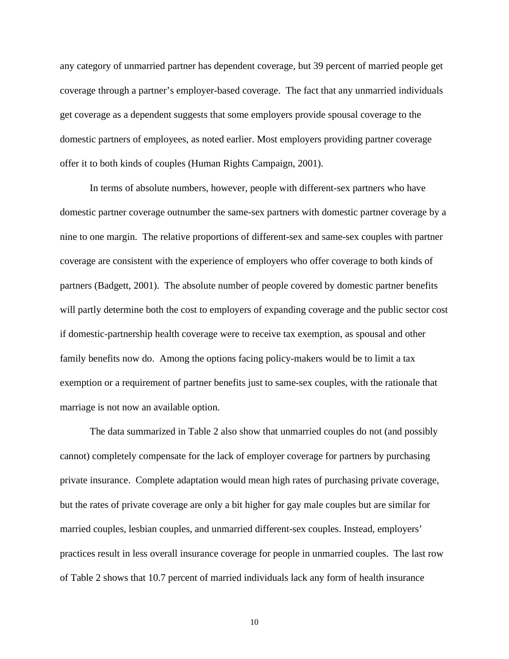any category of unmarried partner has dependent coverage, but 39 percent of married people get coverage through a partner's employer-based coverage. The fact that any unmarried individuals get coverage as a dependent suggests that some employers provide spousal coverage to the domestic partners of employees, as noted earlier. Most employers providing partner coverage offer it to both kinds of couples (Human Rights Campaign, 2001).

In terms of absolute numbers, however, people with different-sex partners who have domestic partner coverage outnumber the same-sex partners with domestic partner coverage by a nine to one margin. The relative proportions of different-sex and same-sex couples with partner coverage are consistent with the experience of employers who offer coverage to both kinds of partners (Badgett, 2001). The absolute number of people covered by domestic partner benefits will partly determine both the cost to employers of expanding coverage and the public sector cost if domestic-partnership health coverage were to receive tax exemption, as spousal and other family benefits now do. Among the options facing policy-makers would be to limit a tax exemption or a requirement of partner benefits just to same-sex couples, with the rationale that marriage is not now an available option.

The data summarized in Table 2 also show that unmarried couples do not (and possibly cannot) completely compensate for the lack of employer coverage for partners by purchasing private insurance. Complete adaptation would mean high rates of purchasing private coverage, but the rates of private coverage are only a bit higher for gay male couples but are similar for married couples, lesbian couples, and unmarried different-sex couples. Instead, employers' practices result in less overall insurance coverage for people in unmarried couples. The last row of Table 2 shows that 10.7 percent of married individuals lack any form of health insurance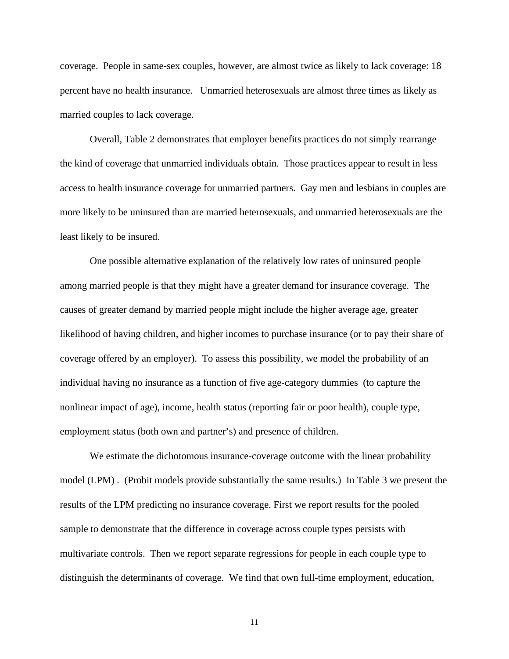coverage. People in same-sex couples, however, are almost twice as likely to lack coverage: 18 percent have no health insurance. Unmarried heterosexuals are almost three times as likely as married couples to lack coverage.

Overall, Table 2 demonstrates that employer benefits practices do not simply rearrange the kind of coverage that unmarried individuals obtain. Those practices appear to result in less access to health insurance coverage for unmarried partners. Gay men and lesbians in couples are more likely to be uninsured than are married heterosexuals, and unmarried heterosexuals are the least likely to be insured.

One possible alternative explanation of the relatively low rates of uninsured people among married people is that they might have a greater demand for insurance coverage. The causes of greater demand by married people might include the higher average age, greater likelihood of having children, and higher incomes to purchase insurance (or to pay their share of coverage offered by an employer). To assess this possibility, we model the probability of an individual having no insurance as a function of five age-category dummies (to capture the nonlinear impact of age), income, health status (reporting fair or poor health), couple type, employment status (both own and partner's) and presence of children.

We estimate the dichotomous insurance-coverage outcome with the linear probability model (LPM) . (Probit models provide substantially the same results.) In Table 3 we present the results of the LPM predicting no insurance coverage. First we report results for the pooled sample to demonstrate that the difference in coverage across couple types persists with multivariate controls. Then we report separate regressions for people in each couple type to distinguish the determinants of coverage. We find that own full-time employment, education,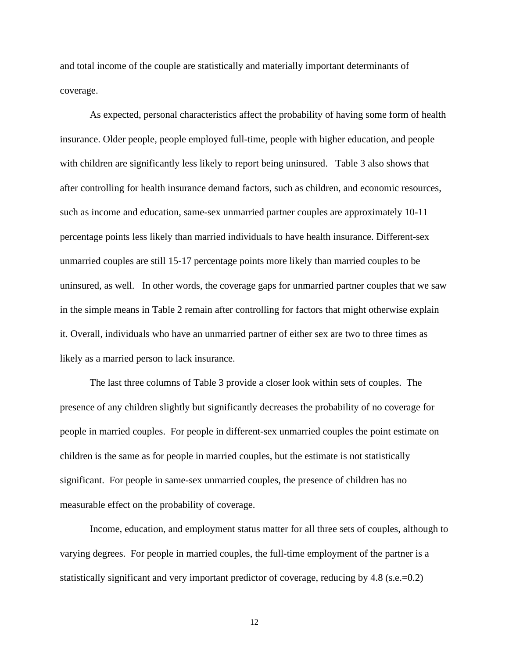and total income of the couple are statistically and materially important determinants of coverage.

As expected, personal characteristics affect the probability of having some form of health insurance. Older people, people employed full-time, people with higher education, and people with children are significantly less likely to report being uninsured. Table 3 also shows that after controlling for health insurance demand factors, such as children, and economic resources, such as income and education, same-sex unmarried partner couples are approximately 10-11 percentage points less likely than married individuals to have health insurance. Different-sex unmarried couples are still 15-17 percentage points more likely than married couples to be uninsured, as well. In other words, the coverage gaps for unmarried partner couples that we saw in the simple means in Table 2 remain after controlling for factors that might otherwise explain it. Overall, individuals who have an unmarried partner of either sex are two to three times as likely as a married person to lack insurance.

The last three columns of Table 3 provide a closer look within sets of couples. The presence of any children slightly but significantly decreases the probability of no coverage for people in married couples. For people in different-sex unmarried couples the point estimate on children is the same as for people in married couples, but the estimate is not statistically significant. For people in same-sex unmarried couples, the presence of children has no measurable effect on the probability of coverage.

Income, education, and employment status matter for all three sets of couples, although to varying degrees. For people in married couples, the full-time employment of the partner is a statistically significant and very important predictor of coverage, reducing by  $4.8$  (s.e.=0.2)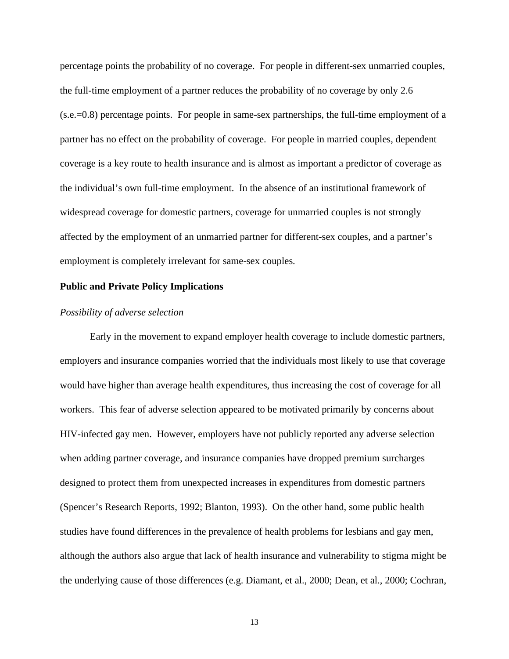percentage points the probability of no coverage. For people in different-sex unmarried couples, the full-time employment of a partner reduces the probability of no coverage by only 2.6 (s.e.=0.8) percentage points. For people in same-sex partnerships, the full-time employment of a partner has no effect on the probability of coverage. For people in married couples, dependent coverage is a key route to health insurance and is almost as important a predictor of coverage as the individual's own full-time employment. In the absence of an institutional framework of widespread coverage for domestic partners, coverage for unmarried couples is not strongly affected by the employment of an unmarried partner for different-sex couples, and a partner's employment is completely irrelevant for same-sex couples.

#### **Public and Private Policy Implications**

#### *Possibility of adverse selection*

Early in the movement to expand employer health coverage to include domestic partners, employers and insurance companies worried that the individuals most likely to use that coverage would have higher than average health expenditures, thus increasing the cost of coverage for all workers. This fear of adverse selection appeared to be motivated primarily by concerns about HIV-infected gay men. However, employers have not publicly reported any adverse selection when adding partner coverage, and insurance companies have dropped premium surcharges designed to protect them from unexpected increases in expenditures from domestic partners (Spencer's Research Reports, 1992; Blanton, 1993). On the other hand, some public health studies have found differences in the prevalence of health problems for lesbians and gay men, although the authors also argue that lack of health insurance and vulnerability to stigma might be the underlying cause of those differences (e.g. Diamant, et al., 2000; Dean, et al., 2000; Cochran,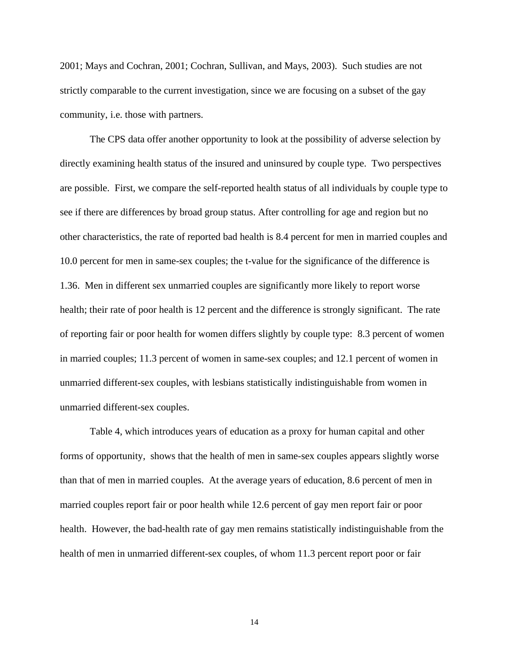2001; Mays and Cochran, 2001; Cochran, Sullivan, and Mays, 2003). Such studies are not strictly comparable to the current investigation, since we are focusing on a subset of the gay community, i.e. those with partners.

The CPS data offer another opportunity to look at the possibility of adverse selection by directly examining health status of the insured and uninsured by couple type. Two perspectives are possible. First, we compare the self-reported health status of all individuals by couple type to see if there are differences by broad group status. After controlling for age and region but no other characteristics, the rate of reported bad health is 8.4 percent for men in married couples and 10.0 percent for men in same-sex couples; the t-value for the significance of the difference is 1.36. Men in different sex unmarried couples are significantly more likely to report worse health; their rate of poor health is 12 percent and the difference is strongly significant. The rate of reporting fair or poor health for women differs slightly by couple type: 8.3 percent of women in married couples; 11.3 percent of women in same-sex couples; and 12.1 percent of women in unmarried different-sex couples, with lesbians statistically indistinguishable from women in unmarried different-sex couples.

Table 4, which introduces years of education as a proxy for human capital and other forms of opportunity, shows that the health of men in same-sex couples appears slightly worse than that of men in married couples. At the average years of education, 8.6 percent of men in married couples report fair or poor health while 12.6 percent of gay men report fair or poor health. However, the bad-health rate of gay men remains statistically indistinguishable from the health of men in unmarried different-sex couples, of whom 11.3 percent report poor or fair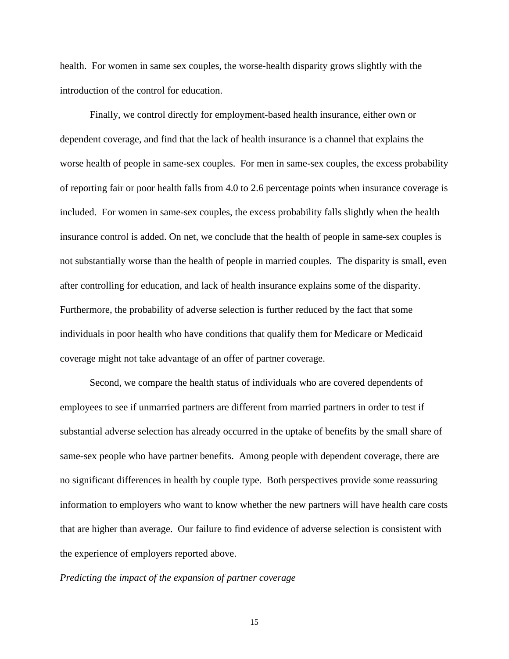health. For women in same sex couples, the worse-health disparity grows slightly with the introduction of the control for education.

Finally, we control directly for employment-based health insurance, either own or dependent coverage, and find that the lack of health insurance is a channel that explains the worse health of people in same-sex couples. For men in same-sex couples, the excess probability of reporting fair or poor health falls from 4.0 to 2.6 percentage points when insurance coverage is included. For women in same-sex couples, the excess probability falls slightly when the health insurance control is added. On net, we conclude that the health of people in same-sex couples is not substantially worse than the health of people in married couples. The disparity is small, even after controlling for education, and lack of health insurance explains some of the disparity. Furthermore, the probability of adverse selection is further reduced by the fact that some individuals in poor health who have conditions that qualify them for Medicare or Medicaid coverage might not take advantage of an offer of partner coverage.

Second, we compare the health status of individuals who are covered dependents of employees to see if unmarried partners are different from married partners in order to test if substantial adverse selection has already occurred in the uptake of benefits by the small share of same-sex people who have partner benefits. Among people with dependent coverage, there are no significant differences in health by couple type. Both perspectives provide some reassuring information to employers who want to know whether the new partners will have health care costs that are higher than average. Our failure to find evidence of adverse selection is consistent with the experience of employers reported above.

#### *Predicting the impact of the expansion of partner coverage*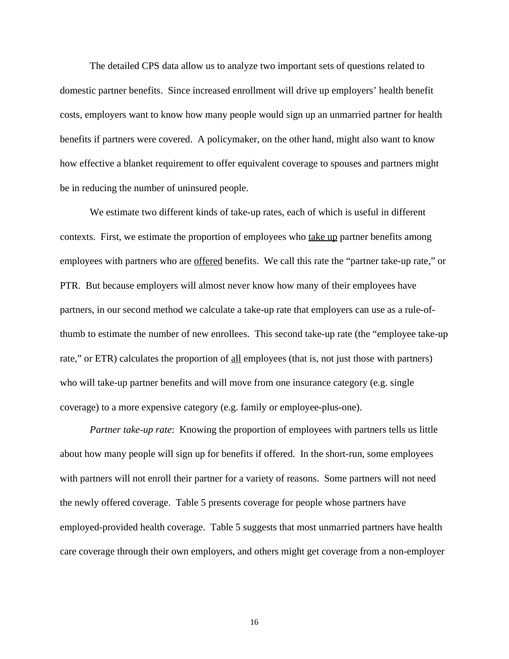The detailed CPS data allow us to analyze two important sets of questions related to domestic partner benefits. Since increased enrollment will drive up employers' health benefit costs, employers want to know how many people would sign up an unmarried partner for health benefits if partners were covered. A policymaker, on the other hand, might also want to know how effective a blanket requirement to offer equivalent coverage to spouses and partners might be in reducing the number of uninsured people.

We estimate two different kinds of take-up rates, each of which is useful in different contexts. First, we estimate the proportion of employees who take up partner benefits among employees with partners who are offered benefits. We call this rate the "partner take-up rate," or PTR. But because employers will almost never know how many of their employees have partners, in our second method we calculate a take-up rate that employers can use as a rule-ofthumb to estimate the number of new enrollees. This second take-up rate (the "employee take-up rate," or ETR) calculates the proportion of all employees (that is, not just those with partners) who will take-up partner benefits and will move from one insurance category (e.g. single coverage) to a more expensive category (e.g. family or employee-plus-one).

*Partner take-up rate*: Knowing the proportion of employees with partners tells us little about how many people will sign up for benefits if offered. In the short-run, some employees with partners will not enroll their partner for a variety of reasons. Some partners will not need the newly offered coverage. Table 5 presents coverage for people whose partners have employed-provided health coverage. Table 5 suggests that most unmarried partners have health care coverage through their own employers, and others might get coverage from a non-employer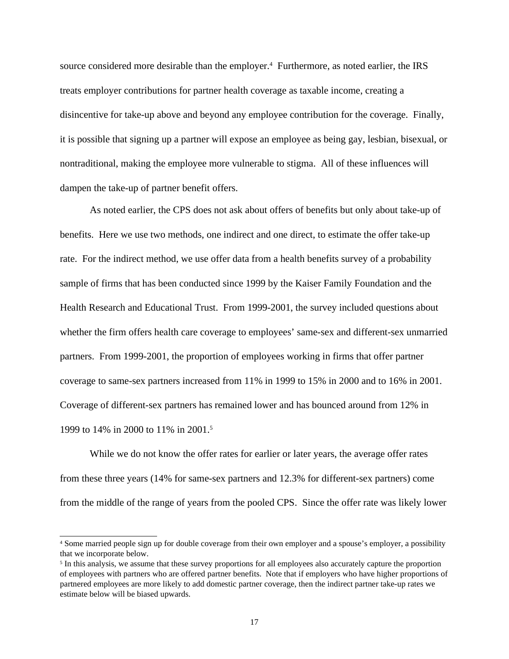source considered more desirable than the employer. 4 Furthermore, as noted earlier, the IRS treats employer contributions for partner health coverage as taxable income, creating a disincentive for take-up above and beyond any employee contribution for the coverage. Finally, it is possible that signing up a partner will expose an employee as being gay, lesbian, bisexual, or nontraditional, making the employee more vulnerable to stigma. All of these influences will dampen the take-up of partner benefit offers.

As noted earlier, the CPS does not ask about offers of benefits but only about take-up of benefits. Here we use two methods, one indirect and one direct, to estimate the offer take-up rate. For the indirect method, we use offer data from a health benefits survey of a probability sample of firms that has been conducted since 1999 by the Kaiser Family Foundation and the Health Research and Educational Trust. From 1999-2001, the survey included questions about whether the firm offers health care coverage to employees' same-sex and different-sex unmarried partners. From 1999-2001, the proportion of employees working in firms that offer partner coverage to same-sex partners increased from 11% in 1999 to 15% in 2000 and to 16% in 2001. Coverage of different-sex partners has remained lower and has bounced around from 12% in 1999 to 14% in 2000 to 11% in 2001.<sup>5</sup>

While we do not know the offer rates for earlier or later years, the average offer rates from these three years (14% for same-sex partners and 12.3% for different-sex partners) come from the middle of the range of years from the pooled CPS. Since the offer rate was likely lower

<sup>4</sup> Some married people sign up for double coverage from their own employer and a spouse's employer, a possibility that we incorporate below.

<sup>&</sup>lt;sup>5</sup> In this analysis, we assume that these survey proportions for all employees also accurately capture the proportion of employees with partners who are offered partner benefits. Note that if employers who have higher proportions of partnered employees are more likely to add domestic partner coverage, then the indirect partner take-up rates we estimate below will be biased upwards.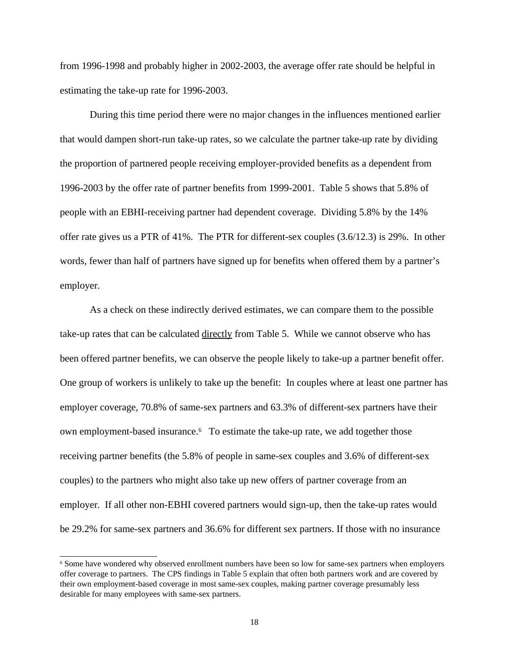from 1996-1998 and probably higher in 2002-2003, the average offer rate should be helpful in estimating the take-up rate for 1996-2003.

During this time period there were no major changes in the influences mentioned earlier that would dampen short-run take-up rates, so we calculate the partner take-up rate by dividing the proportion of partnered people receiving employer-provided benefits as a dependent from 1996-2003 by the offer rate of partner benefits from 1999-2001. Table 5 shows that 5.8% of people with an EBHI-receiving partner had dependent coverage. Dividing 5.8% by the 14% offer rate gives us a PTR of 41%. The PTR for different-sex couples (3.6/12.3) is 29%. In other words, fewer than half of partners have signed up for benefits when offered them by a partner's employer.

As a check on these indirectly derived estimates, we can compare them to the possible take-up rates that can be calculated directly from Table 5. While we cannot observe who has been offered partner benefits, we can observe the people likely to take-up a partner benefit offer. One group of workers is unlikely to take up the benefit: In couples where at least one partner has employer coverage, 70.8% of same-sex partners and 63.3% of different-sex partners have their own employment-based insurance. 6 To estimate the take-up rate, we add together those receiving partner benefits (the 5.8% of people in same-sex couples and 3.6% of different-sex couples) to the partners who might also take up new offers of partner coverage from an employer. If all other non-EBHI covered partners would sign-up, then the take-up rates would be 29.2% for same-sex partners and 36.6% for different sex partners. If those with no insurance

<sup>6</sup> Some have wondered why observed enrollment numbers have been so low for same-sex partners when employers offer coverage to partners. The CPS findings in Table 5 explain that often both partners work and are covered by their own employment-based coverage in most same-sex couples, making partner coverage presumably less desirable for many employees with same-sex partners.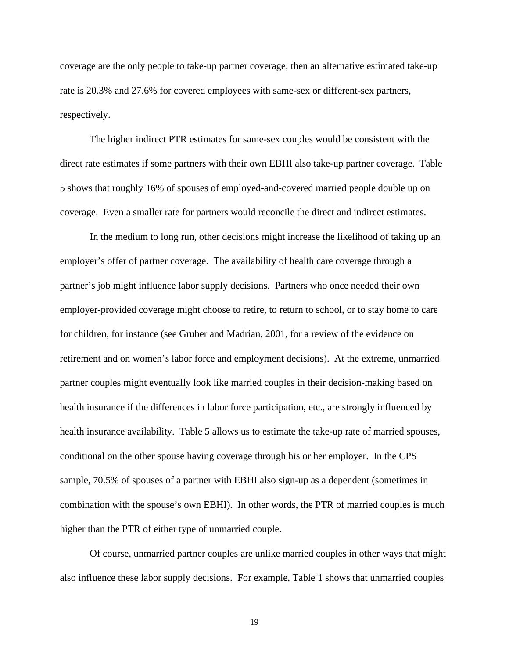coverage are the only people to take-up partner coverage, then an alternative estimated take-up rate is 20.3% and 27.6% for covered employees with same-sex or different-sex partners, respectively.

The higher indirect PTR estimates for same-sex couples would be consistent with the direct rate estimates if some partners with their own EBHI also take-up partner coverage. Table 5 shows that roughly 16% of spouses of employed-and-covered married people double up on coverage. Even a smaller rate for partners would reconcile the direct and indirect estimates.

In the medium to long run, other decisions might increase the likelihood of taking up an employer's offer of partner coverage. The availability of health care coverage through a partner's job might influence labor supply decisions. Partners who once needed their own employer-provided coverage might choose to retire, to return to school, or to stay home to care for children, for instance (see Gruber and Madrian, 2001, for a review of the evidence on retirement and on women's labor force and employment decisions). At the extreme, unmarried partner couples might eventually look like married couples in their decision-making based on health insurance if the differences in labor force participation, etc., are strongly influenced by health insurance availability. Table 5 allows us to estimate the take-up rate of married spouses, conditional on the other spouse having coverage through his or her employer. In the CPS sample, 70.5% of spouses of a partner with EBHI also sign-up as a dependent (sometimes in combination with the spouse's own EBHI). In other words, the PTR of married couples is much higher than the PTR of either type of unmarried couple.

Of course, unmarried partner couples are unlike married couples in other ways that might also influence these labor supply decisions. For example, Table 1 shows that unmarried couples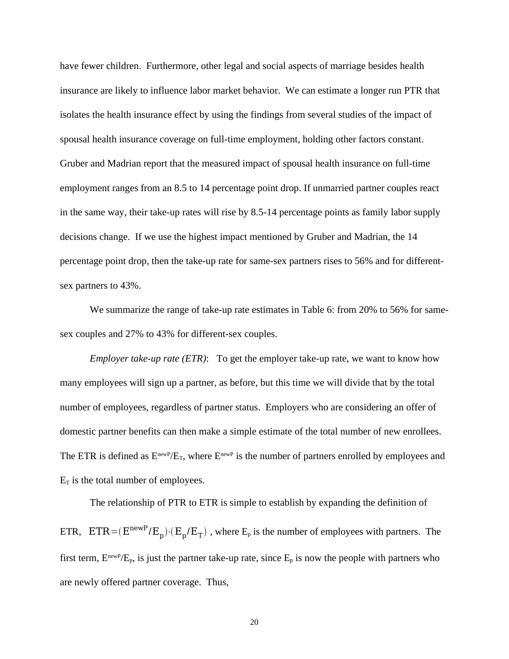have fewer children. Furthermore, other legal and social aspects of marriage besides health insurance are likely to influence labor market behavior. We can estimate a longer run PTR that isolates the health insurance effect by using the findings from several studies of the impact of spousal health insurance coverage on full-time employment, holding other factors constant. Gruber and Madrian report that the measured impact of spousal health insurance on full-time employment ranges from an 8.5 to 14 percentage point drop. If unmarried partner couples react in the same way, their take-up rates will rise by 8.5-14 percentage points as family labor supply decisions change. If we use the highest impact mentioned by Gruber and Madrian, the 14 percentage point drop, then the take-up rate for same-sex partners rises to 56% and for differentsex partners to 43%.

We summarize the range of take-up rate estimates in Table 6: from 20% to 56% for samesex couples and 27% to 43% for different-sex couples.

*Employer take-up rate (ETR)*: To get the employer take-up rate, we want to know how many employees will sign up a partner, as before, but this time we will divide that by the total number of employees, regardless of partner status. Employers who are considering an offer of domestic partner benefits can then make a simple estimate of the total number of new enrollees. The ETR is defined as  $E^{newP}/E_T$ , where  $E^{newP}$  is the number of partners enrolled by employees and  $E_T$  is the total number of employees.

The relationship of PTR to ETR is simple to establish by expanding the definition of ETR,  $ETR = (E^{newP}/E_p) \cdot (E_p/E_T)$ , where  $E_p$  is the number of employees with partners. The first term,  $E^{newP}/E_p$ , is just the partner take-up rate, since  $E_p$  is now the people with partners who are newly offered partner coverage. Thus,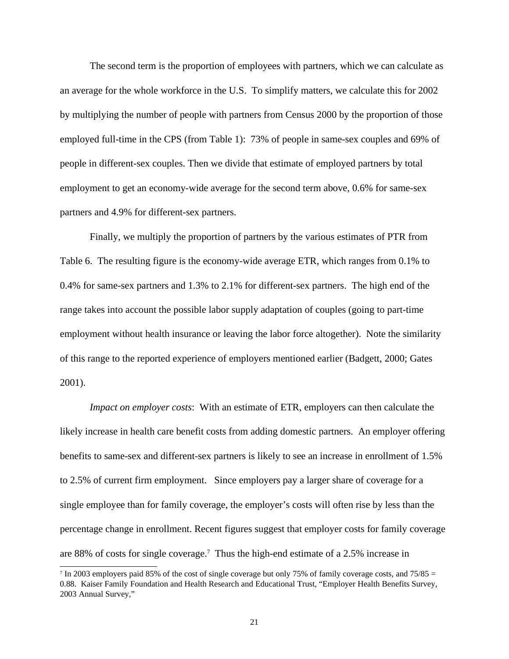The second term is the proportion of employees with partners, which we can calculate as an average for the whole workforce in the U.S. To simplify matters, we calculate this for 2002 by multiplying the number of people with partners from Census 2000 by the proportion of those employed full-time in the CPS (from Table 1): 73% of people in same-sex couples and 69% of people in different-sex couples. Then we divide that estimate of employed partners by total employment to get an economy-wide average for the second term above, 0.6% for same-sex partners and 4.9% for different-sex partners.

Finally, we multiply the proportion of partners by the various estimates of PTR from Table 6. The resulting figure is the economy-wide average ETR, which ranges from 0.1% to 0.4% for same-sex partners and 1.3% to 2.1% for different-sex partners. The high end of the range takes into account the possible labor supply adaptation of couples (going to part-time employment without health insurance or leaving the labor force altogether). Note the similarity of this range to the reported experience of employers mentioned earlier (Badgett, 2000; Gates 2001).

*Impact on employer costs*: With an estimate of ETR, employers can then calculate the likely increase in health care benefit costs from adding domestic partners. An employer offering benefits to same-sex and different-sex partners is likely to see an increase in enrollment of 1.5% to 2.5% of current firm employment. Since employers pay a larger share of coverage for a single employee than for family coverage, the employer's costs will often rise by less than the percentage change in enrollment. Recent figures suggest that employer costs for family coverage are 88% of costs for single coverage. 7 Thus the high-end estimate of a 2.5% increase in

<sup>7</sup> In 2003 employers paid 85% of the cost of single coverage but only 75% of family coverage costs, and 75/85 = 0.88. Kaiser Family Foundation and Health Research and Educational Trust, "Employer Health Benefits Survey, 2003 Annual Survey,"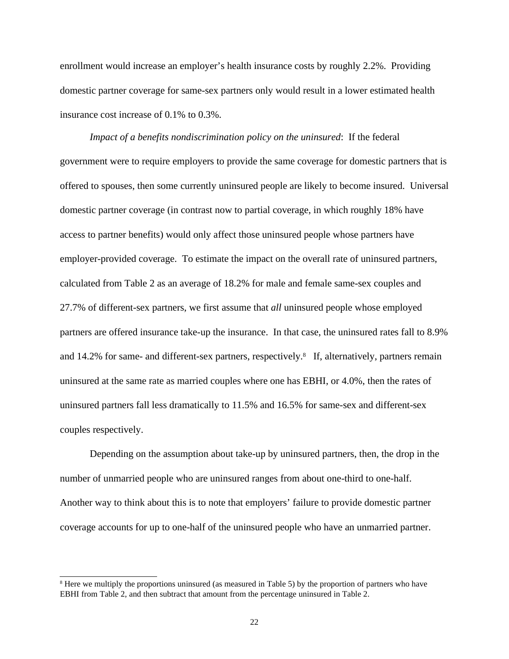enrollment would increase an employer's health insurance costs by roughly 2.2%. Providing domestic partner coverage for same-sex partners only would result in a lower estimated health insurance cost increase of 0.1% to 0.3%.

*Impact of a benefits nondiscrimination policy on the uninsured*: If the federal government were to require employers to provide the same coverage for domestic partners that is offered to spouses, then some currently uninsured people are likely to become insured. Universal domestic partner coverage (in contrast now to partial coverage, in which roughly 18% have access to partner benefits) would only affect those uninsured people whose partners have employer-provided coverage. To estimate the impact on the overall rate of uninsured partners, calculated from Table 2 as an average of 18.2% for male and female same-sex couples and 27.7% of different-sex partners, we first assume that *all* uninsured people whose employed partners are offered insurance take-up the insurance. In that case, the uninsured rates fall to 8.9% and 14.2% for same- and different-sex partners, respectively.<sup>8</sup> If, alternatively, partners remain uninsured at the same rate as married couples where one has EBHI, or 4.0%, then the rates of uninsured partners fall less dramatically to 11.5% and 16.5% for same-sex and different-sex couples respectively.

Depending on the assumption about take-up by uninsured partners, then, the drop in the number of unmarried people who are uninsured ranges from about one-third to one-half. Another way to think about this is to note that employers' failure to provide domestic partner coverage accounts for up to one-half of the uninsured people who have an unmarried partner.

<sup>8</sup> Here we multiply the proportions uninsured (as measured in Table 5) by the proportion of partners who have EBHI from Table 2, and then subtract that amount from the percentage uninsured in Table 2.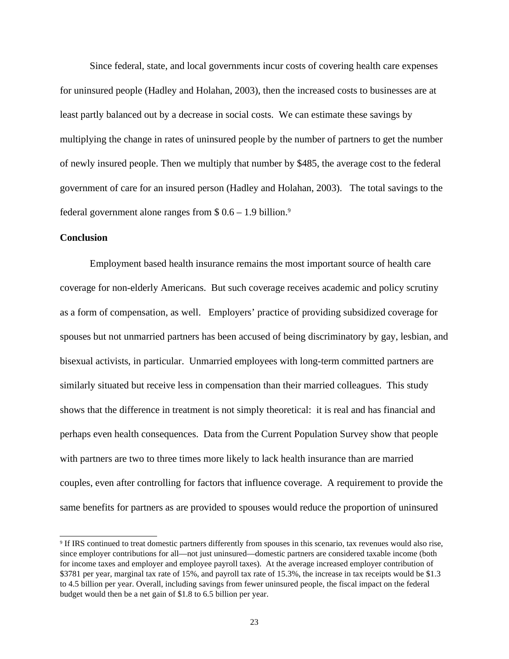Since federal, state, and local governments incur costs of covering health care expenses for uninsured people (Hadley and Holahan, 2003), then the increased costs to businesses are at least partly balanced out by a decrease in social costs. We can estimate these savings by multiplying the change in rates of uninsured people by the number of partners to get the number of newly insured people. Then we multiply that number by \$485, the average cost to the federal government of care for an insured person (Hadley and Holahan, 2003). The total savings to the federal government alone ranges from  $$ 0.6 - 1.9$  billion.<sup>9</sup>

#### **Conclusion**

Employment based health insurance remains the most important source of health care coverage for non-elderly Americans. But such coverage receives academic and policy scrutiny as a form of compensation, as well. Employers' practice of providing subsidized coverage for spouses but not unmarried partners has been accused of being discriminatory by gay, lesbian, and bisexual activists, in particular. Unmarried employees with long-term committed partners are similarly situated but receive less in compensation than their married colleagues. This study shows that the difference in treatment is not simply theoretical: it is real and has financial and perhaps even health consequences. Data from the Current Population Survey show that people with partners are two to three times more likely to lack health insurance than are married couples, even after controlling for factors that influence coverage. A requirement to provide the same benefits for partners as are provided to spouses would reduce the proportion of uninsured

<sup>9</sup> If IRS continued to treat domestic partners differently from spouses in this scenario, tax revenues would also rise, since employer contributions for all—not just uninsured—domestic partners are considered taxable income (both for income taxes and employer and employee payroll taxes). At the average increased employer contribution of \$3781 per year, marginal tax rate of 15%, and payroll tax rate of 15.3%, the increase in tax receipts would be \$1.3 to 4.5 billion per year. Overall, including savings from fewer uninsured people, the fiscal impact on the federal budget would then be a net gain of \$1.8 to 6.5 billion per year.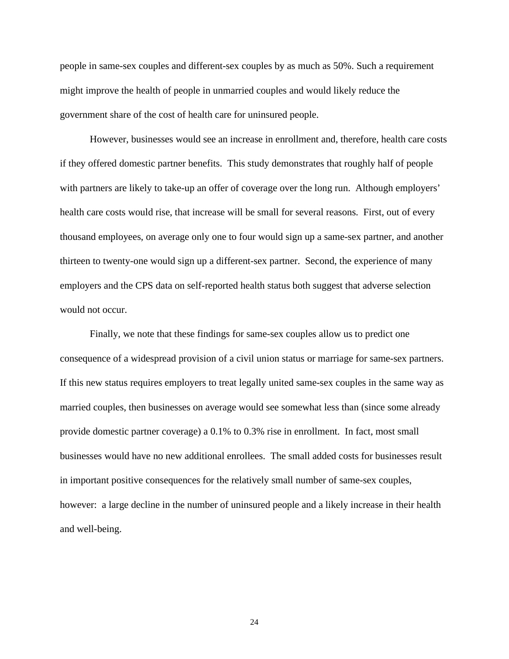people in same-sex couples and different-sex couples by as much as 50%. Such a requirement might improve the health of people in unmarried couples and would likely reduce the government share of the cost of health care for uninsured people.

However, businesses would see an increase in enrollment and, therefore, health care costs if they offered domestic partner benefits. This study demonstrates that roughly half of people with partners are likely to take-up an offer of coverage over the long run. Although employers' health care costs would rise, that increase will be small for several reasons. First, out of every thousand employees, on average only one to four would sign up a same-sex partner, and another thirteen to twenty-one would sign up a different-sex partner. Second, the experience of many employers and the CPS data on self-reported health status both suggest that adverse selection would not occur.

Finally, we note that these findings for same-sex couples allow us to predict one consequence of a widespread provision of a civil union status or marriage for same-sex partners. If this new status requires employers to treat legally united same-sex couples in the same way as married couples, then businesses on average would see somewhat less than (since some already provide domestic partner coverage) a 0.1% to 0.3% rise in enrollment. In fact, most small businesses would have no new additional enrollees. The small added costs for businesses result in important positive consequences for the relatively small number of same-sex couples, however: a large decline in the number of uninsured people and a likely increase in their health and well-being.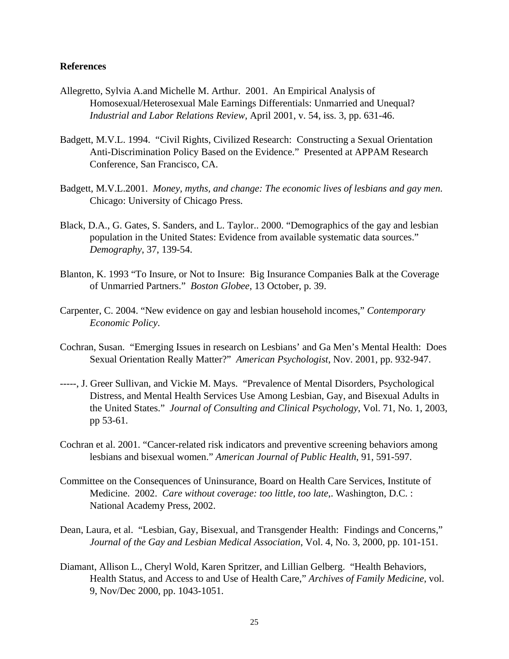#### **References**

- Allegretto, Sylvia A.and Michelle M. Arthur. 2001. An Empirical Analysis of Homosexual/Heterosexual Male Earnings Differentials: Unmarried and Unequal? *Industrial and Labor Relations Review*, April 2001, v. 54, iss. 3, pp. 631-46.
- Badgett, M.V.L. 1994. "Civil Rights, Civilized Research: Constructing a Sexual Orientation Anti-Discrimination Policy Based on the Evidence." Presented at APPAM Research Conference, San Francisco, CA.
- Badgett, M.V.L.2001. *Money, myths, and change: The economic lives of lesbians and gay men*. Chicago: University of Chicago Press.
- Black, D.A., G. Gates, S. Sanders, and L. Taylor.. 2000. "Demographics of the gay and lesbian population in the United States: Evidence from available systematic data sources." *Demography*, 37, 139-54.
- Blanton, K. 1993 "To Insure, or Not to Insure: Big Insurance Companies Balk at the Coverage of Unmarried Partners." *Boston Globee*, 13 October, p. 39.
- Carpenter, C. 2004. "New evidence on gay and lesbian household incomes," *Contemporary Economic Policy*.
- Cochran, Susan. "Emerging Issues in research on Lesbians' and Ga Men's Mental Health: Does Sexual Orientation Really Matter?" *American Psychologist*, Nov. 2001, pp. 932-947.
- -----, J. Greer Sullivan, and Vickie M. Mays. "Prevalence of Mental Disorders, Psychological Distress, and Mental Health Services Use Among Lesbian, Gay, and Bisexual Adults in the United States." *Journal of Consulting and Clinical Psychology*, Vol. 71, No. 1, 2003, pp 53-61.
- Cochran et al. 2001. "Cancer-related risk indicators and preventive screening behaviors among lesbians and bisexual women." *American Journal of Public Health*, 91, 591-597.
- Committee on the Consequences of Uninsurance, Board on Health Care Services, Institute of Medicine. 2002. *Care without coverage: too little, too late*,. Washington, D.C. : National Academy Press, 2002.
- Dean, Laura, et al. "Lesbian, Gay, Bisexual, and Transgender Health: Findings and Concerns," *Journal of the Gay and Lesbian Medical Association*, Vol. 4, No. 3, 2000, pp. 101-151.
- Diamant, Allison L., Cheryl Wold, Karen Spritzer, and Lillian Gelberg. "Health Behaviors, Health Status, and Access to and Use of Health Care," *Archives of Family Medicine*, vol. 9, Nov/Dec 2000, pp. 1043-1051.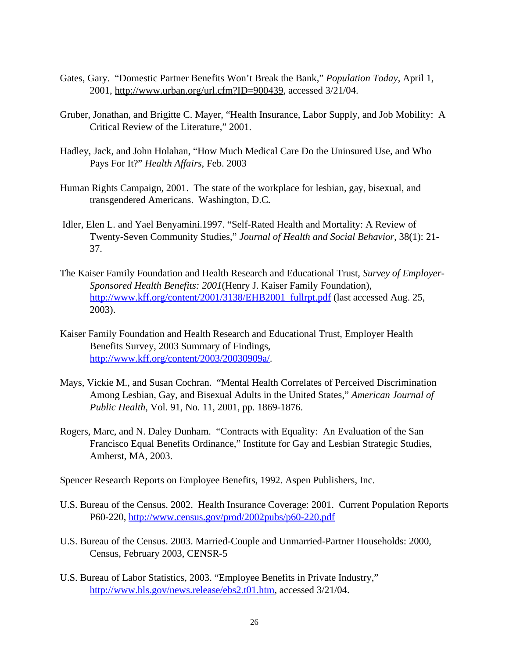- Gates, Gary. "Domestic Partner Benefits Won't Break the Bank," *Population Today*, April 1, 2001, http://www.urban.org/url.cfm?ID=900439, accessed 3/21/04.
- Gruber, Jonathan, and Brigitte C. Mayer, "Health Insurance, Labor Supply, and Job Mobility: A Critical Review of the Literature," 2001.
- Hadley, Jack, and John Holahan, "How Much Medical Care Do the Uninsured Use, and Who Pays For It?" *Health Affairs*, Feb. 2003
- Human Rights Campaign, 2001. The state of the workplace for lesbian, gay, bisexual, and transgendered Americans. Washington, D.C.
- Idler, Elen L. and Yael Benyamini.1997. "Self-Rated Health and Mortality: A Review of Twenty-Seven Community Studies," *Journal of Health and Social Behavior*, 38(1): 21- 37.
- The Kaiser Family Foundation and Health Research and Educational Trust, *Survey of Employer-Sponsored Health Benefits: 2001*(Henry J. Kaiser Family Foundation), http://www.kff.org/content/2001/3138/EHB2001\_fullrpt.pdf (last accessed Aug. 25, 2003).
- Kaiser Family Foundation and Health Research and Educational Trust, Employer Health Benefits Survey, 2003 Summary of Findings, http://www.kff.org/content/2003/20030909a/.
- Mays, Vickie M., and Susan Cochran. "Mental Health Correlates of Perceived Discrimination Among Lesbian, Gay, and Bisexual Adults in the United States," *American Journal of Public Health*, Vol. 91, No. 11, 2001, pp. 1869-1876.
- Rogers, Marc, and N. Daley Dunham. "Contracts with Equality: An Evaluation of the San Francisco Equal Benefits Ordinance," Institute for Gay and Lesbian Strategic Studies, Amherst, MA, 2003.

Spencer Research Reports on Employee Benefits, 1992. Aspen Publishers, Inc.

- U.S. Bureau of the Census. 2002. Health Insurance Coverage: 2001. Current Population Reports P60-220, http://www.census.gov/prod/2002pubs/p60-220.pdf
- U.S. Bureau of the Census. 2003. Married-Couple and Unmarried-Partner Households: 2000, Census, February 2003, CENSR-5
- U.S. Bureau of Labor Statistics, 2003. "Employee Benefits in Private Industry," http://www.bls.gov/news.release/ebs2.t01.htm, accessed 3/21/04.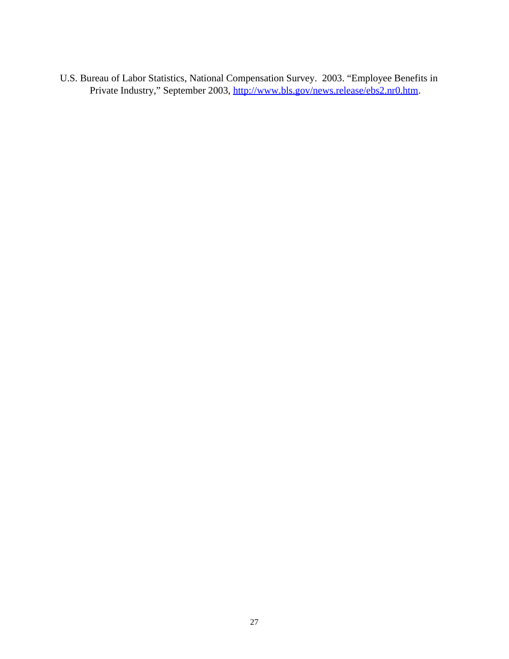U.S. Bureau of Labor Statistics, National Compensation Survey. 2003. "Employee Benefits in Private Industry," September 2003, http://www.bls.gov/news.release/ebs2.nr0.htm.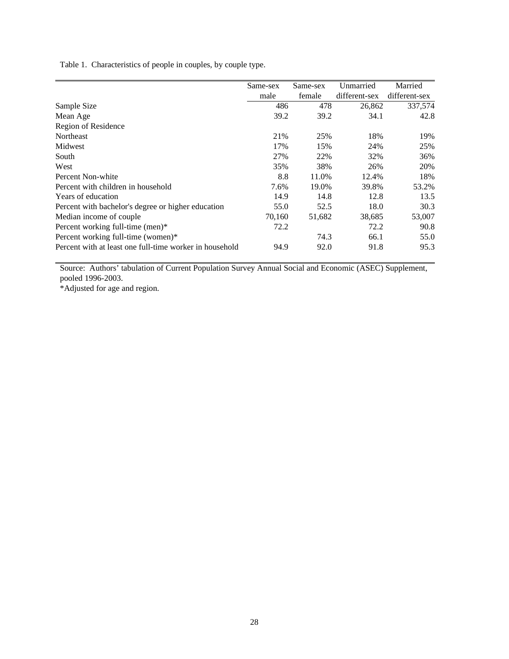Table 1. Characteristics of people in couples, by couple type.

|                                                         | Same-sex | Same-sex | Unmarried     | Married       |
|---------------------------------------------------------|----------|----------|---------------|---------------|
|                                                         | male     | female   | different-sex | different-sex |
| Sample Size                                             | 486      | 478      | 26,862        | 337,574       |
| Mean Age                                                | 39.2     | 39.2     | 34.1          | 42.8          |
| Region of Residence                                     |          |          |               |               |
| Northeast                                               | 21%      | 25%      | 18%           | 19%           |
| Midwest                                                 | 17%      | 15%      | 24%           | 25%           |
| South                                                   | 27%      | 22%      | 32%           | 36%           |
| West                                                    | 35%      | 38%      | 26%           | 20%           |
| Percent Non-white                                       | 8.8      | 11.0%    | 12.4%         | 18%           |
| Percent with children in household                      | 7.6%     | 19.0%    | 39.8%         | 53.2%         |
| Years of education                                      | 14.9     | 14.8     | 12.8          | 13.5          |
| Percent with bachelor's degree or higher education      | 55.0     | 52.5     | 18.0          | 30.3          |
| Median income of couple.                                | 70,160   | 51,682   | 38,685        | 53,007        |
| Percent working full-time (men)*                        | 72.2     |          | 72.2          | 90.8          |
| Percent working full-time (women)*                      |          | 74.3     | 66.1          | 55.0          |
| Percent with at least one full-time worker in household | 94.9     | 92.0     | 91.8          | 95.3          |

Source: Authors' tabulation of Current Population Survey Annual Social and Economic (ASEC) Supplement, pooled 1996-2003.

\*Adjusted for age and region.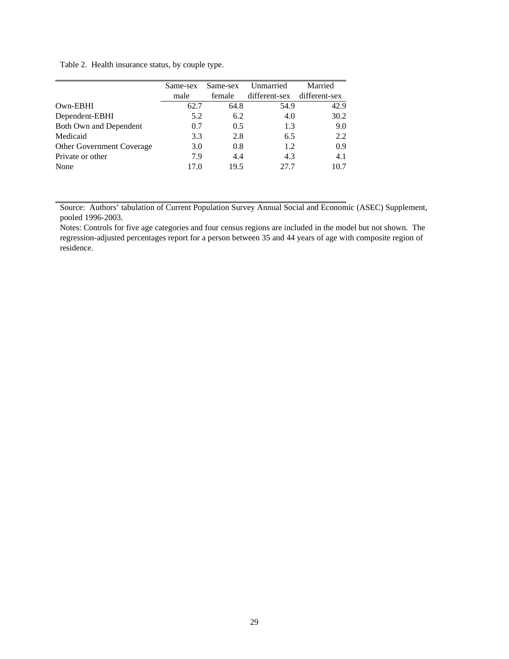Table 2. Health insurance status, by couple type.

|                                  | Same-sex | Same-sex | Unmarried                   | Married |
|----------------------------------|----------|----------|-----------------------------|---------|
|                                  | male     | female   | different-sex different-sex |         |
| Own-EBHI                         | 62.7     | 64.8     | 54.9                        | 42.9    |
| Dependent-EBHI                   | 5.2      | 6.2      | 4.0                         | 30.2    |
| Both Own and Dependent           | 0.7      | 0.5      | 1.3                         | 9.0     |
| Medicaid                         | 3.3      | 2.8      | 6.5                         | 2.2     |
| <b>Other Government Coverage</b> | 3.0      | 0.8      | 1.2                         | 0.9     |
| Private or other                 | 7.9      | 4.4      | 4.3                         | 4.1     |
| None                             | 17.0     | 19.5     | 27.7                        | 10.7    |

Source: Authors' tabulation of Current Population Survey Annual Social and Economic (ASEC) Supplement, pooled 1996-2003.

Notes: Controls for five age categories and four census regions are included in the model but not shown. The regression-adjusted percentages report for a person between 35 and 44 years of age with composite region of residence.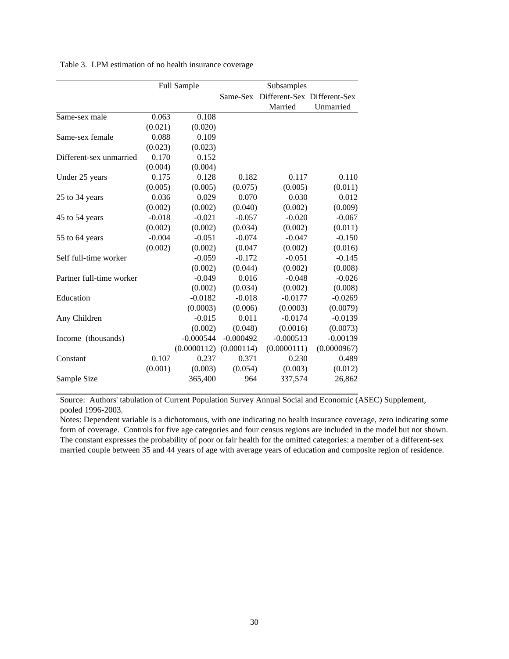|                          | <b>Full Sample</b> |             | Subsamples  |                             |             |
|--------------------------|--------------------|-------------|-------------|-----------------------------|-------------|
|                          |                    |             | Same-Sex    | Different-Sex Different-Sex |             |
|                          |                    |             |             | Married                     | Unmarried   |
| Same-sex male            | 0.063              | 0.108       |             |                             |             |
|                          | (0.021)            | (0.020)     |             |                             |             |
| Same-sex female          | 0.088              | 0.109       |             |                             |             |
|                          | (0.023)            | (0.023)     |             |                             |             |
| Different-sex unmarried  | 0.170              | 0.152       |             |                             |             |
|                          | (0.004)            | (0.004)     |             |                             |             |
| Under 25 years           | 0.175              | 0.128       | 0.182       | 0.117                       | 0.110       |
|                          | (0.005)            | (0.005)     | (0.075)     | (0.005)                     | (0.011)     |
| 25 to 34 years           | 0.036              | 0.029       | 0.070       | 0.030                       | 0.012       |
|                          | (0.002)            | (0.002)     | (0.040)     | (0.002)                     | (0.009)     |
| 45 to 54 years           | $-0.018$           | $-0.021$    | $-0.057$    | $-0.020$                    | $-0.067$    |
|                          | (0.002)            | (0.002)     | (0.034)     | (0.002)                     | (0.011)     |
| 55 to 64 years           | $-0.004$           | $-0.051$    | $-0.074$    | $-0.047$                    | $-0.150$    |
|                          | (0.002)            | (0.002)     | (0.047)     | (0.002)                     | (0.016)     |
| Self full-time worker    |                    | $-0.059$    | $-0.172$    | $-0.051$                    | $-0.145$    |
|                          |                    | (0.002)     | (0.044)     | (0.002)                     | (0.008)     |
| Partner full-time worker |                    | $-0.049$    | 0.016       | $-0.048$                    | $-0.026$    |
|                          |                    | (0.002)     | (0.034)     | (0.002)                     | (0.008)     |
| Education                |                    | $-0.0182$   | $-0.018$    | $-0.0177$                   | $-0.0269$   |
|                          |                    | (0.0003)    | (0.006)     | (0.0003)                    | (0.0079)    |
| Any Children             |                    | $-0.015$    | 0.011       | $-0.0174$                   | $-0.0139$   |
|                          |                    | (0.002)     | (0.048)     | (0.0016)                    | (0.0073)    |
| Income (thousands)       |                    | $-0.000544$ | $-0.000492$ | $-0.000513$                 | $-0.00139$  |
|                          |                    | (0.0000112) | (0.000114)  | (0.0000111)                 | (0.0000967) |
| Constant                 | 0.107              | 0.237       | 0.371       | 0.230                       | 0.489       |
|                          | (0.001)            | (0.003)     | (0.054)     | (0.003)                     | (0.012)     |
| Sample Size              |                    | 365,400     | 964         | 337,574                     | 26,862      |

Table 3. LPM estimation of no health insurance coverage

Source: Authors' tabulation of Current Population Survey Annual Social and Economic (ASEC) Supplement, pooled 1996-2003.

Notes: Dependent variable is a dichotomous, with one indicating no health insurance coverage, zero indicating some form of coverage. Controls for five age categories and four census regions are included in the model but not shown. The constant expresses the probability of poor or fair health for the omitted categories: a member of a different-sex married couple between 35 and 44 years of age with average years of education and composite region of residence.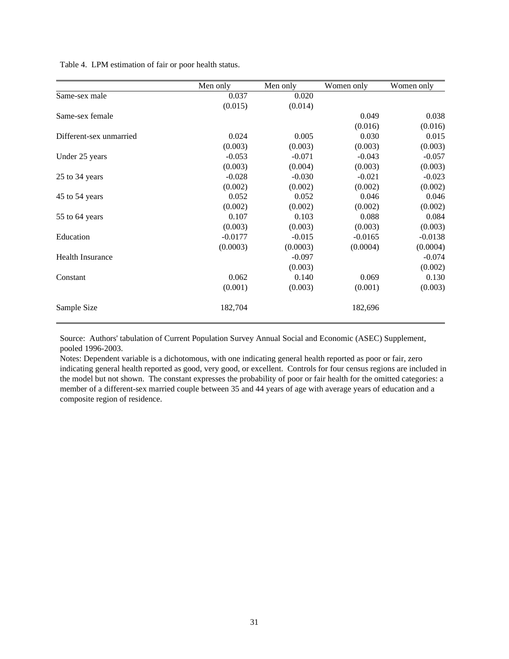Table 4. LPM estimation of fair or poor health status.

|                         | Men only  | Men only | Women only | Women only |
|-------------------------|-----------|----------|------------|------------|
| Same-sex male           | 0.037     | 0.020    |            |            |
|                         | (0.015)   | (0.014)  |            |            |
| Same-sex female         |           |          | 0.049      | 0.038      |
|                         |           |          | (0.016)    | (0.016)    |
| Different-sex unmarried | 0.024     | 0.005    | 0.030      | 0.015      |
|                         | (0.003)   | (0.003)  | (0.003)    | (0.003)    |
| Under 25 years          | $-0.053$  | $-0.071$ | $-0.043$   | $-0.057$   |
|                         | (0.003)   | (0.004)  | (0.003)    | (0.003)    |
| 25 to 34 years          | $-0.028$  | $-0.030$ | $-0.021$   | $-0.023$   |
|                         | (0.002)   | (0.002)  | (0.002)    | (0.002)    |
| 45 to 54 years          | 0.052     | 0.052    | 0.046      | 0.046      |
|                         | (0.002)   | (0.002)  | (0.002)    | (0.002)    |
| 55 to 64 years          | 0.107     | 0.103    | 0.088      | 0.084      |
|                         | (0.003)   | (0.003)  | (0.003)    | (0.003)    |
| Education               | $-0.0177$ | $-0.015$ | $-0.0165$  | $-0.0138$  |
|                         | (0.0003)  | (0.0003) | (0.0004)   | (0.0004)   |
| <b>Health Insurance</b> |           | $-0.097$ |            | $-0.074$   |
|                         |           | (0.003)  |            | (0.002)    |
| Constant                | 0.062     | 0.140    | 0.069      | 0.130      |
|                         | (0.001)   | (0.003)  | (0.001)    | (0.003)    |
| Sample Size             | 182,704   |          | 182,696    |            |

Source: Authors' tabulation of Current Population Survey Annual Social and Economic (ASEC) Supplement, pooled 1996-2003.

Notes: Dependent variable is a dichotomous, with one indicating general health reported as poor or fair, zero indicating general health reported as good, very good, or excellent. Controls for four census regions are included in the model but not shown. The constant expresses the probability of poor or fair health for the omitted categories: a member of a different-sex married couple between 35 and 44 years of age with average years of education and a composite region of residence.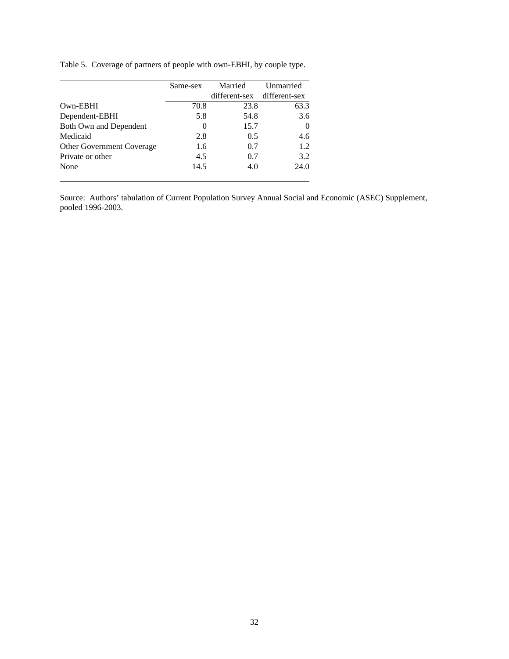Table 5. Coverage of partners of people with own-EBHI, by couple type.

|                                  | Same-sex | Married                     | Unmarried |
|----------------------------------|----------|-----------------------------|-----------|
|                                  |          | different-sex different-sex |           |
| Own-EBHI                         | 70.8     | 23.8                        | 63.3      |
| Dependent-EBHI                   | 5.8      | 54.8                        | 3.6       |
| Both Own and Dependent           | $\theta$ | 15.7                        | 0         |
| Medicaid                         | 2.8      | 0.5                         | 4.6       |
| <b>Other Government Coverage</b> | 1.6      | 0.7                         | 1.2.      |
| Private or other                 | 4.5      | 0.7                         | 3.2       |
| None                             | 14.5     | 4.0                         | 24.0      |

Source: Authors' tabulation of Current Population Survey Annual Social and Economic (ASEC) Supplement, pooled 1996-2003.